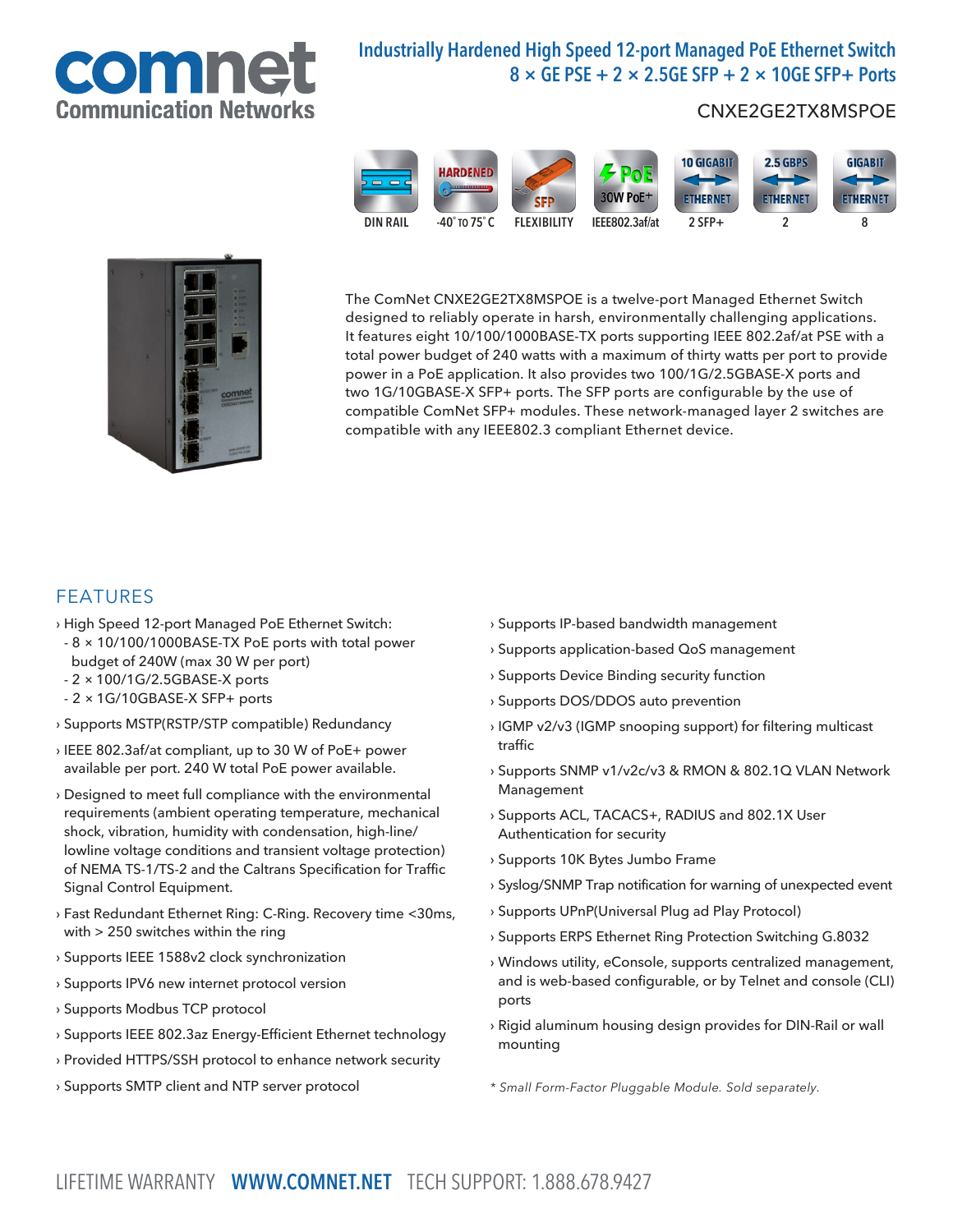

# Industrially Hardened High Speed 12-port Managed PoE Ethernet Switch  $8 \times$  GE PSE + 2  $\times$  2.5GE SFP + 2  $\times$  10GE SFP+ Ports

## CNXE2GE2TX8MSPOE





The ComNet CNXE2GE2TX8MSPOE is a twelve-port Managed Ethernet Switch designed to reliably operate in harsh, environmentally challenging applications. It features eight 10/100/1000BASE-TX ports supporting IEEE 802.2af/at PSE with a total power budget of 240 watts with a maximum of thirty watts per port to provide power in a PoE application. It also provides two 100/1G/2.5GBASE-X ports and two 1G/10GBASE-X SFP+ ports. The SFP ports are configurable by the use of compatible ComNet SFP+ modules. These network-managed layer 2 switches are compatible with any IEEE802.3 compliant Ethernet device.

### FEATURES

- › High Speed 12-port Managed PoE Ethernet Switch:
- 8 × 10/100/1000BASE-TX PoE ports with total power budget of 240W (max 30 W per port)
- 2 × 100/1G/2.5GBASE-X ports
- 2 × 1G/10GBASE-X SFP+ ports
- › Supports MSTP(RSTP/STP compatible) Redundancy
- › IEEE 802.3af/at compliant, up to 30 W of PoE+ power available per port. 240 W total PoE power available.
- › Designed to meet full compliance with the environmental requirements (ambient operating temperature, mechanical shock, vibration, humidity with condensation, high-line/ lowline voltage conditions and transient voltage protection) of NEMA TS-1/TS-2 and the Caltrans Specification for Traffic Signal Control Equipment.
- › Fast Redundant Ethernet Ring: C-Ring. Recovery time <30ms, with > 250 switches within the ring
- › Supports IEEE 1588v2 clock synchronization
- › Supports IPV6 new internet protocol version
- › Supports Modbus TCP protocol
- › Supports IEEE 802.3az Energy-Efficient Ethernet technology
- › Provided HTTPS/SSH protocol to enhance network security
- › Supports SMTP client and NTP server protocol
- › Supports IP-based bandwidth management
- › Supports application-based QoS management
- › Supports Device Binding security function
- › Supports DOS/DDOS auto prevention
- › IGMP v2/v3 (IGMP snooping support) for filtering multicast traffic
- › Supports SNMP v1/v2c/v3 & RMON & 802.1Q VLAN Network Management
- › Supports ACL, TACACS+, RADIUS and 802.1X User Authentication for security
- › Supports 10K Bytes Jumbo Frame
- › Syslog/SNMP Trap notification for warning of unexpected event
- › Supports UPnP(Universal Plug ad Play Protocol)
- › Supports ERPS Ethernet Ring Protection Switching G.8032
- › Windows utility, eConsole, supports centralized management, and is web-based configurable, or by Telnet and console (CLI) ports
- › Rigid aluminum housing design provides for DIN-Rail or wall mounting
- *\* Small Form-Factor Pluggable Module. Sold separately.*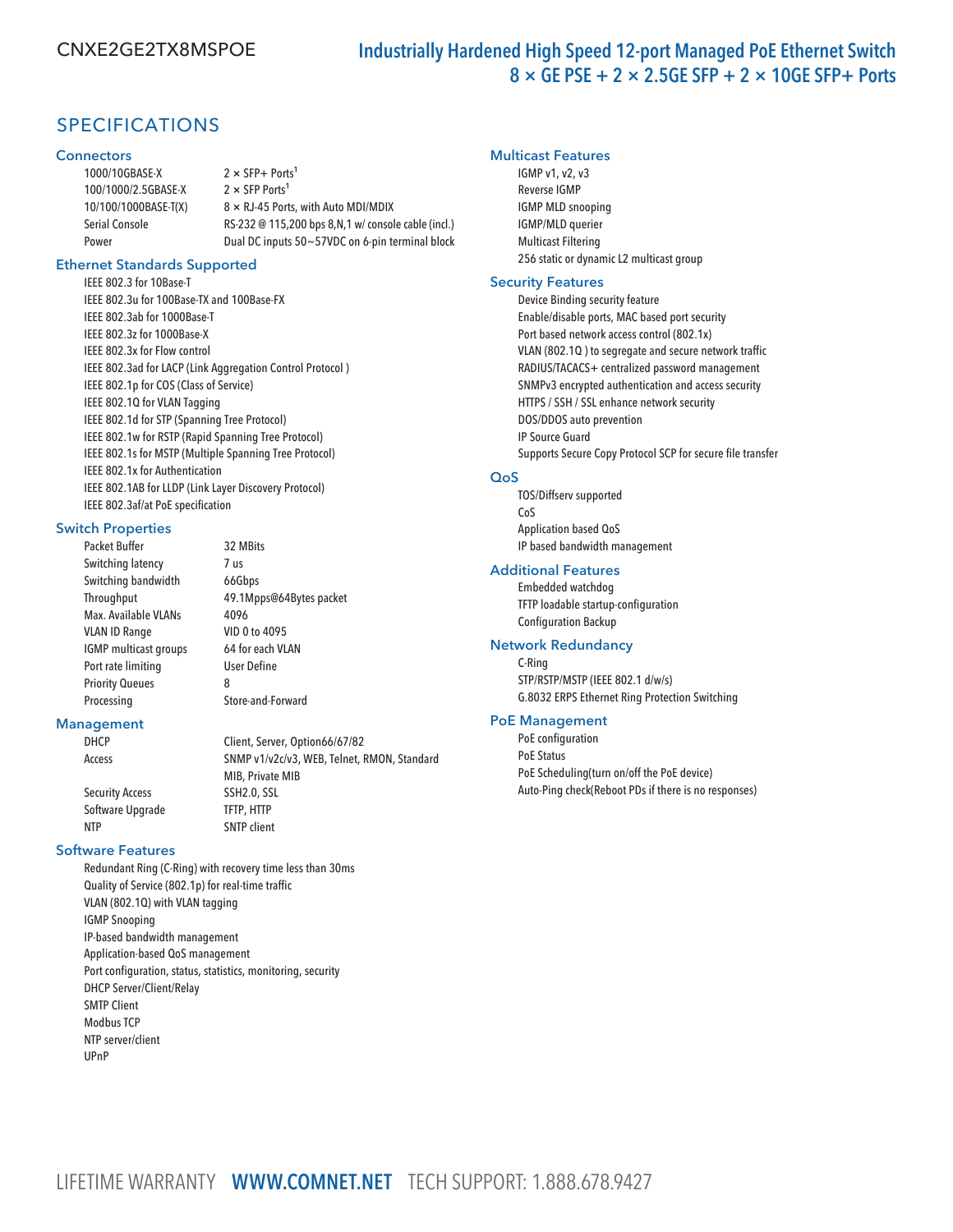# SPECIFICATIONS

#### **Connectors**

| 1000/10GBASE-X        | $2 \times$ SFP+ Ports <sup>1</sup>                    |
|-----------------------|-------------------------------------------------------|
| 100/1000/2.5GBASE-X   | $2 \times$ SFP Ports <sup>1</sup>                     |
| 10/100/1000BASE-T(X)  | $8 \times RJ-45$ Ports, with Auto MDI/MDIX            |
| <b>Serial Console</b> | RS-232 @ 115,200 bps 8, N, 1 w/ console cable (incl.) |
| Power                 | Dual DC inputs 50~57VDC on 6-pin terminal block       |
|                       |                                                       |

#### Ethernet Standards Supported

IEEE 802.3 for 10Base-T IEEE 802.3u for 100Base-TX and 100Base-FX IEEE 802.3ab for 1000Base-T IEEE 802.3z for 1000Base-X IEEE 802.3x for Flow control IEEE 802.3ad for LACP (Link Aggregation Control Protocol ) IEEE 802.1p for COS (Class of Service) IEEE 802.1Q for VLAN Tagging IEEE 802.1d for STP (Spanning Tree Protocol) IEEE 802.1w for RSTP (Rapid Spanning Tree Protocol) IEEE 802.1s for MSTP (Multiple Spanning Tree Protocol) IEEE 802.1x for Authentication IEEE 802.1AB for LLDP (Link Layer Discovery Protocol) IEEE 802.3af/at PoE specification

#### Switch Properties

Packet Buffer 32 MBits Switching latency 7 us Switching bandwidth 66Gbps Max. Available VLANs 4096 VLAN ID Range VID 0 to 4095 IGMP multicast groups 64 for each VLAN Port rate limiting User Define Priority Queues 8 Processing Store-and-Forward

# Throughput 49.1Mpps@64Bytes packet

MIB, Private MIB

#### Management

DHCP Client, Server, Option66/67/82 Access SNMP v1/v2c/v3, WEB, Telnet, RMON, Standard

Security Access SSH2.0, SSL Software Upgrade TFTP, HTTP NTP SNTP client

#### Software Features

Redundant Ring (C-Ring) with recovery time less than 30ms Quality of Service (802.1p) for real-time traffic VLAN (802.1Q) with VLAN tagging IGMP Snooping IP-based bandwidth management Application-based QoS management Port configuration, status, statistics, monitoring, security DHCP Server/Client/Relay SMTP Client Modbus TCP NTP server/client UPnP

#### Multicast Features

IGMP v1, v2, v3 Reverse IGMP IGMP MLD snooping IGMP/MLD querier Multicast Filtering 256 static or dynamic L2 multicast group

#### Security Features

Device Binding security feature Enable/disable ports, MAC based port security Port based network access control (802.1x) VLAN (802.1Q ) to segregate and secure network traffic RADIUS/TACACS+ centralized password management SNMPv3 encrypted authentication and access security HTTPS / SSH / SSL enhance network security DOS/DDOS auto prevention IP Source Guard Supports Secure Copy Protocol SCP for secure file transfer

#### QoS

TOS/Diffserv supported CoS Application based QoS IP based bandwidth management

#### Additional Features

Embedded watchdog TFTP loadable startup-configuration Configuration Backup

#### Network Redundancy

C-Ring STP/RSTP/MSTP (IEEE 802.1 d/w/s) G.8032 ERPS Ethernet Ring Protection Switching

#### PoE Management

PoE configuration PoE Status PoE Scheduling(turn on/off the PoE device) Auto-Ping check(Reboot PDs if there is no responses)